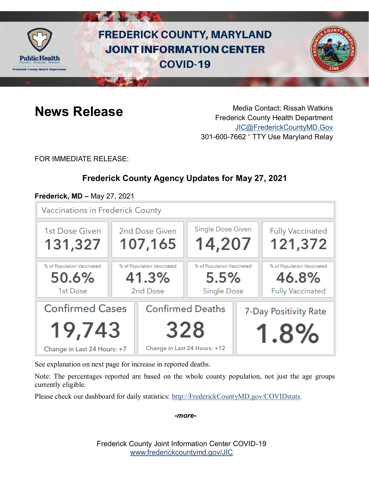

# **FREDERICK COUNTY, MARYLAND JOINT INFORMATION CENTER COVID-19**



**News Release** Media Contact: Rissah Watkins Frederick County Health Department [JIC@FrederickCountyMD.Gov](mailto:JIC@FrederickCountyMD.Gov) 301-600-7662 • TTY Use Maryland Relay

FOR IMMEDIATE RELEASE:

## **Frederick County Agency Updates for May 27, 2021**

#### **Frederick, MD –** May 27, 2021

**Vaccinations in Frederick County** 



See explanation on next page for increase in reported deaths.

Note: The percentages reported are based on the whole county population, not just the age groups currently eligible.

Please check our dashboard for daily statistics: [http://FrederickCountyMD.gov/COVIDstats.](http://frederickcountymd.gov/COVIDstats)

*-more-*

Frederick County Joint Information Center COVID-19 [www.frederickcountymd.gov/JIC](https://frederickcountymd.gov/JIC)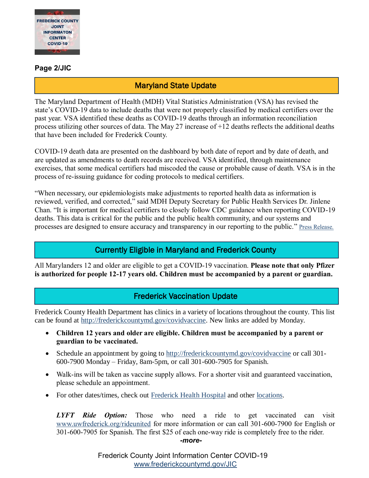

#### **Page 2/JIC**

#### Maryland State Update

The Maryland Department of Health (MDH) Vital Statistics Administration (VSA) has revised the state's COVID-19 data to include deaths that were not properly classified by medical certifiers over the past year. VSA identified these deaths as COVID-19 deaths through an information reconciliation process utilizing other sources of data. The May 27 increase of +12 deaths reflects the additional deaths that have been included for Frederick County.

COVID-19 death data are presented on the dashboard by both date of report and by date of death, and are updated as amendments to death records are received. VSA identified, through maintenance exercises, that some medical certifiers had miscoded the cause or probable cause of death. VSA is in the process of re-issuing guidance for coding protocols to medical certifiers.

"When necessary, our epidemiologists make adjustments to reported health data as information is reviewed, verified, and corrected," said MDH Deputy Secretary for Public Health Services Dr. Jinlene Chan. "It is important for medical certifiers to closely follow CDC guidance when reporting COVID-19 deaths. This data is critical for the public and the public health community, and our systems and processes are designed to ensure accuracy and transparency in our reporting to the public." [Press Release.](https://health.maryland.gov/newsroom/Pages/Maryland-Department-of-Health-Vital-Statistics-Administration-issues-revision-of-COVID-19-death-data.aspx)

#### Currently Eligible in Maryland and Frederick County

All Marylanders 12 and older are eligible to get a COVID-19 vaccination. **Please note that only Pfizer is authorized for people 12-17 years old. Children must be accompanied by a parent or guardian.**

#### Frederick Vaccination Update

Frederick County Health Department has clinics in a variety of locations throughout the county. This list can be found at [http://frederickcountymd.gov/covidvaccine.](https://health.frederickcountymd.gov/629/COVID-19-Vaccine) New links are added by Monday.

- **Children 12 years and older are eligible. Children must be accompanied by a parent or guardian to be vaccinated.**
- Schedule an appointment by going to [http://frederickcountymd.gov/covidvaccine](https://health.frederickcountymd.gov/629/COVID-19-Vaccine) or call 301-600-7900 Monday – Friday, 8am-5pm, or call 301-600-7905 for Spanish.
- Walk-ins will be taken as vaccine supply allows. For a shorter visit and guaranteed vaccination, please schedule an appointment.
- For other dates/times, check out Frederick [Health Hospital](https://www.frederickhealth.org/patients-visitors/coronavirus-covid-19-/schedule-your-covid-19-vaccine/) and other [locations.](https://www.marylandvax.org/appointment/en/clinic/search)

*LYFT Ride Option:* Those who need a ride to get vaccinated can visit [www.uwfrederick.org/rideunited](http://www.uwfrederick.org/rideunited) for more information or can call 301-600-7900 for English or 301-600-7905 for Spanish. The first \$25 of each one-way ride is completely free to the rider. *-more-*

> Frederick County Joint Information Center COVID-19 [www.frederickcountymd.gov/JIC](https://frederickcountymd.gov/JIC)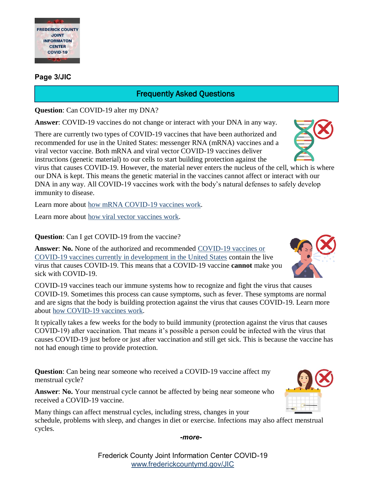

#### **Page 3/JIC**

### Frequently Asked Questions

**Question**: Can COVID-19 alter my DNA?

**Answer**: COVID-19 vaccines do not change or interact with your DNA in any way.

There are currently two types of COVID-19 vaccines that have been authorized and recommended for use in the United States: messenger RNA (mRNA) vaccines and a viral vector vaccine. Both mRNA and viral vector COVID-19 vaccines deliver instructions (genetic material) to our cells to start building protection against the

virus that causes COVID-19. However, the material never enters the nucleus of the cell, which is where our DNA is kept. This means the genetic material in the vaccines cannot affect or interact with our DNA in any way. All COVID-19 vaccines work with the body's natural defenses to safely develop immunity to disease.

Learn more about [how mRNA COVID-19 vaccines work.](https://www.cdc.gov/coronavirus/2019-ncov/vaccines/different-vaccines/mrna.html)

Learn more about [how viral vector](https://www.cdc.gov/coronavirus/2019-ncov/vaccines/different-vaccines/viralvector.html) vaccines work.

**Question**: Can I get COVID-19 from the vaccine?

**Answer**: **No.** None of the authorized and recommended [COVID-19 vaccines or](https://www.cdc.gov/coronavirus/2019-ncov/vaccines/different-vaccines.html)  [COVID-19 vaccines currently in development in the United States](https://www.cdc.gov/coronavirus/2019-ncov/vaccines/different-vaccines.html) contain the live virus that causes COVID-19. This means that a COVID-19 vaccine **cannot** make you sick with COVID-19.

COVID-19 vaccines teach our immune systems how to recognize and fight the virus that causes COVID-19. Sometimes this process can cause symptoms, such as fever. These symptoms are normal and are signs that the body is building protection against the virus that causes COVID-19. Learn more about [how COVID-19 vaccines work.](https://www.cdc.gov/coronavirus/2019-ncov/vaccines/about-vaccines/how-they-work.html)

It typically takes a few weeks for the body to build immunity (protection against the virus that causes COVID-19) after vaccination. That means it's possible a person could be infected with the virus that causes COVID-19 just before or just after vaccination and still get sick. This is because the vaccine has not had enough time to provide protection.

**Question**: Can being near someone who received a COVID-19 vaccine affect my menstrual cycle?

**Answer**: **No.** Your menstrual cycle cannot be affected by being near someone who received a COVID-19 vaccine.

Many things can affect menstrual cycles, including stress, changes in your schedule, problems with sleep, and changes in diet or exercise. Infections may also affect menstrual cycles.



*-more-*